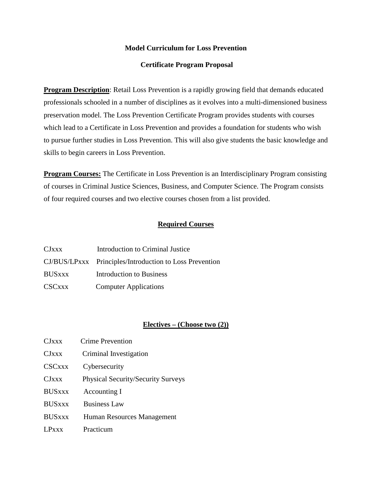### **Model Curriculum for Loss Prevention**

### **Certificate Program Proposal**

**Program Description:** Retail Loss Prevention is a rapidly growing field that demands educated professionals schooled in a number of disciplines as it evolves into a multi-dimensioned business preservation model. The Loss Prevention Certificate Program provides students with courses which lead to a Certificate in Loss Prevention and provides a foundation for students who wish to pursue further studies in Loss Prevention. This will also give students the basic knowledge and skills to begin careers in Loss Prevention.

**Program Courses:** The Certificate in Loss Prevention is an Interdisciplinary Program consisting of courses in Criminal Justice Sciences, Business, and Computer Science. The Program consists of four required courses and two elective courses chosen from a list provided.

# **Required Courses**

| CJxxx         | Introduction to Criminal Justice                        |
|---------------|---------------------------------------------------------|
|               | CJ/BUS/LPxxx Principles/Introduction to Loss Prevention |
| <b>BUSXXX</b> | Introduction to Business                                |
| <b>CSCxxx</b> | <b>Computer Applications</b>                            |

#### **Electives – (Choose two (2))**

| <b>CJ</b> xxx | <b>Crime Prevention</b>                   |
|---------------|-------------------------------------------|
| CJxxx         | Criminal Investigation                    |
| <b>CSCxxx</b> | Cybersecurity                             |
| <b>CJ</b> xxx | <b>Physical Security/Security Surveys</b> |
| <b>BUSxxx</b> | Accounting I                              |
| <b>BUSxxx</b> | <b>Business Law</b>                       |
| <b>BUSxxx</b> | Human Resources Management                |
| LPxxx         | Practicum                                 |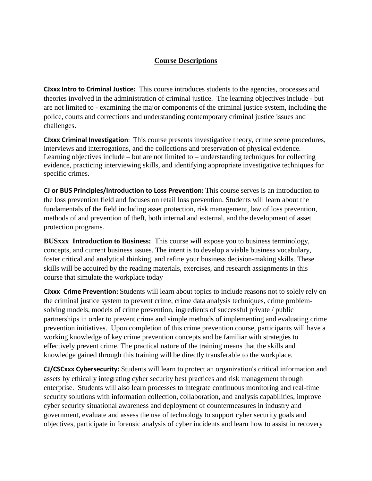## **Course Descriptions**

**CJxxx Intro to Criminal Justice:** This course introduces students to the agencies, processes and theories involved in the administration of criminal justice. The learning objectives include - but are not limited to - examining the major components of the criminal justice system, including the police, courts and corrections and understanding contemporary criminal justice issues and challenges.

**CJxxx Criminal Investigation**: This course presents investigative theory, crime scene procedures, interviews and interrogations, and the collections and preservation of physical evidence. Learning objectives include – but are not limited to – understanding techniques for collecting evidence, practicing interviewing skills, and identifying appropriate investigative techniques for specific crimes.

**CJ or BUS Principles/Introduction to Loss Prevention:** This course serves is an introduction to the loss prevention field and focuses on retail loss prevention. Students will learn about the fundamentals of the field including asset protection, risk management, law of loss prevention, methods of and prevention of theft, both internal and external, and the development of asset protection programs.

**BUSxxx Introduction to Business:** This course will expose you to business terminology, concepts, and current business issues. The intent is to develop a viable business vocabulary, foster critical and analytical thinking, and refine your business decision-making skills. These skills will be acquired by the reading materials, exercises, and research assignments in this course that simulate the workplace today

**CJxxx Crime Prevention:** Students will learn about topics to include reasons not to solely rely on the criminal justice system to prevent crime, crime data analysis techniques, crime problemsolving models, models of crime prevention, ingredients of successful private / public partnerships in order to prevent crime and simple methods of implementing and evaluating crime prevention initiatives. Upon completion of this crime prevention course, participants will have a working knowledge of key crime prevention concepts and be familiar with strategies to effectively prevent crime. The practical nature of the training means that the skills and knowledge gained through this training will be directly transferable to the workplace.

**CJ/CSCxxx Cybersecurity:** Students will learn to protect an organization's critical information and assets by ethically integrating cyber security best practices and risk management through enterprise. Students will also learn processes to integrate continuous monitoring and real-time security solutions with information collection, collaboration, and analysis capabilities, improve cyber security situational awareness and deployment of countermeasures in industry and government, evaluate and assess the use of technology to support cyber security goals and objectives, participate in forensic analysis of cyber incidents and learn how to assist in recovery